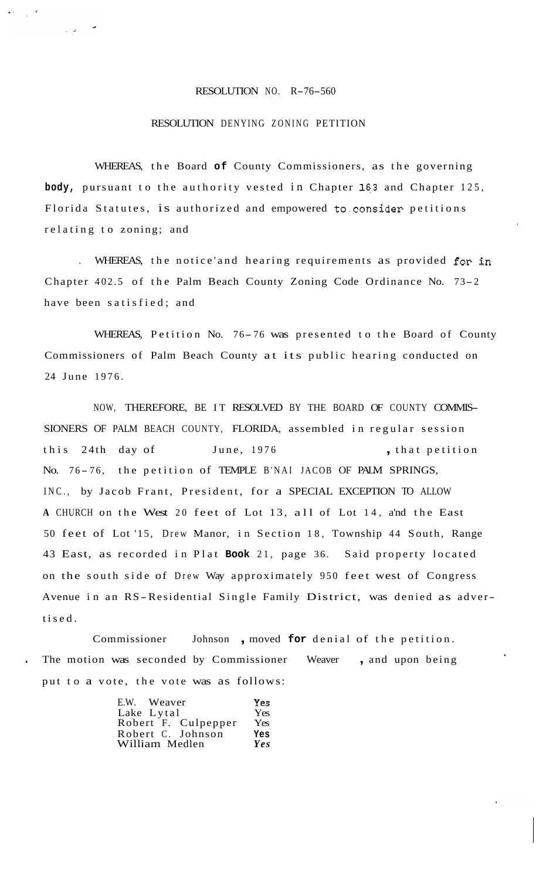## RESOLUTION NO. R-76-560

## RESOLUTION DENYING ZONING PETITION

WHEREAS, the Board **of** County Commissioners, as the governing body, pursuant to the authority vested in Chapter 163 and Chapter 125, Florida Statutes, is authorized and empowered to.consider petitions relating to zoning; and

. WHEREAS, the notice'and hearing requirements as provided for in Chapter 402.5 of the Palm Beach County Zoning Code Ordinance No. 73- <sup>2</sup> have been satisfied; and

WHEREAS, Petition No. 76-76 was presented to the Board of County Commissioners of Palm Beach County at its public hearing conducted on 24 June 1976.

NOW, THEREFORE, BE IT RESOLVED BY THE BOARD OF COUNTY COMMIS-SIONERS OF PALM BEACH COUNTY, FLORIDA, assembled in regular session this 24th day of June, 1976 , that petition No. 76-76, the petition of TEMPLE B'NAI JACOB OF PALM SPRINGS, INC., by Jacob Frant, President, for a SPECIAL EXCEPTION TO ALLOW **<sup>A</sup>**CHURCH on the West 20 feet of Lot 13, all of Lot 14, a'nd the East 50 feet of Lot '15, Drew Manor, in Section 18, Township 44 South, Range 43 East, as recorded in Plat **Book** 21, page 36. Said property located on the south side of Drew Way approximately 950 feet west of Congress Avenue in an RS-Residential Single Family District, was denied as advertised.

Commissioner Johnson , moved **for** denial of the petition. The motion was seconded by Commissioner Weaver, and upon being put to a vote, the vote was as follows:

| E.W. Weaver         | Yes |
|---------------------|-----|
| Lake Lytal          | Yes |
| Robert F. Culpepper | Yes |
| Robert C. Johnson   | Yes |
| William Medlen      | Yes |